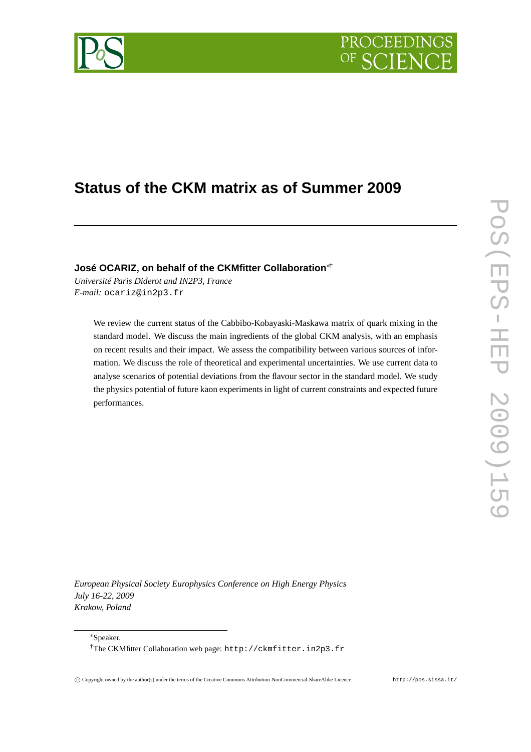



# **Status of the CKM matrix as of Summer 2009**

**José OCARIZ, on behalf of the CKMfitter Collaboration**∗†

*Université Paris Diderot and IN2P3, France E-mail:* ocariz@in2p3.fr

> We review the current status of the Cabbibo-Kobayaski-Maskawa matrix of quark mixing in the standard model. We discuss the main ingredients of the global CKM analysis, with an emphasis on recent results and their impact. We assess the compatibility between various sources of information. We discuss the role of theoretical and experimental uncertainties. We use current data to analyse scenarios of potential deviations from the flavour sector in the standard model. We study the physics potential of future kaon experiments in light of current constraints and expected future performances.

*European Physical Society Europhysics Conference on High Energy Physics July 16-22, 2009 Krakow, Poland*

<sup>∗</sup>Speaker.

<sup>†</sup>The CKMfitter Collaboration web page: http://ckmfitter.in2p3.fr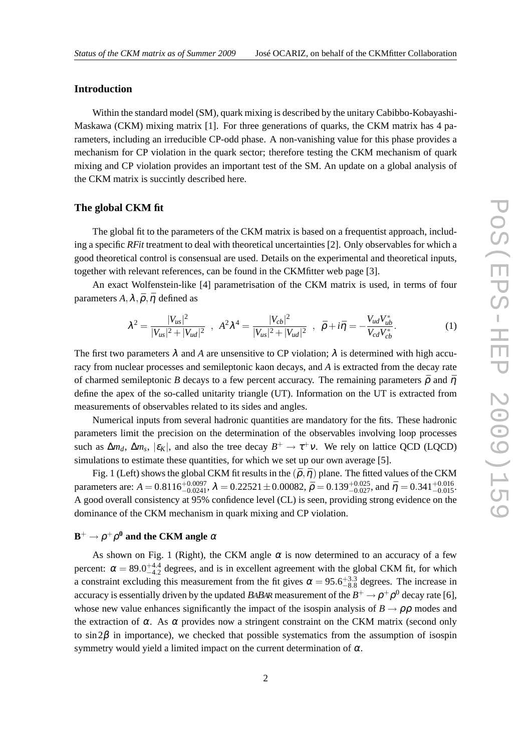## **Introduction**

Within the standard model (SM), quark mixing is described by the unitary Cabibbo-Kobayashi-Maskawa (CKM) mixing matrix [1]. For three generations of quarks, the CKM matrix has 4 parameters, including an irreducible CP-odd phase. A non-vanishing value for this phase provides a mechanism for CP violation in the quark sector; therefore testing the CKM mechanism of quark mixing and CP violation provides an important test of the SM. An update on a global analysis of the CKM matrix is succintly described here.

#### **The global CKM fit**

The global fit to the parameters of the CKM matrix is based on a frequentist approach, including a specific *RFit* treatment to deal with theoretical uncertainties [2]. Only observables for which a good theoretical control is consensual are used. Details on the experimental and theoretical inputs, together with relevant references, can be found in the CKMfitter web page [3].

An exact Wolfenstein-like [4] parametrisation of the CKM matrix is used, in terms of four parameters  $A, \lambda, \bar{\rho}, \bar{\eta}$  defined as

$$
\lambda^{2} = \frac{|V_{us}|^{2}}{|V_{us}|^{2} + |V_{ud}|^{2}} \quad , \quad A^{2} \lambda^{4} = \frac{|V_{cb}|^{2}}{|V_{us}|^{2} + |V_{ud}|^{2}} \quad , \quad \bar{\rho} + i\bar{\eta} = -\frac{V_{ud}V_{ub}^{*}}{V_{cd}V_{cb}^{*}}.
$$
 (1)

The first two parameters  $\lambda$  and A are unsensitive to CP violation;  $\lambda$  is determined with high accuracy from nuclear processes and semileptonic kaon decays, and *A* is extracted from the decay rate of charmed semileptonic *B* decays to a few percent accuracy. The remaining parameters  $\bar{\rho}$  and  $\bar{\eta}$ define the apex of the so-called unitarity triangle (UT). Information on the UT is extracted from measurements of observables related to its sides and angles.

Numerical inputs from several hadronic quantities are mandatory for the fits. These hadronic parameters limit the precision on the determination of the observables involving loop processes such as  $\Delta m_d$ ,  $\Delta m_s$ ,  $|\varepsilon_K|$ , and also the tree decay  $B^+ \to \tau^+ \nu$ . We rely on lattice QCD (LQCD) simulations to estimate these quantities, for which we set up our own average [5].

Fig. 1 (Left) shows the global CKM fit results in the  $(\bar{p}, \bar{\eta})$  plane. The fitted values of the CKM parameters are:  $A = 0.8116_{-0.0241}^{+0.0097}$ ,  $\lambda = 0.22521 \pm 0.00082$ ,  $\bar{\rho} = 0.139_{-0.027}^{+0.025}$ , and  $\bar{\eta} = 0.341_{-0.015}^{+0.016}$ . A good overall consistency at 95% confidence level (CL) is seen, providing strong evidence on the dominance of the CKM mechanism in quark mixing and CP violation.

## $\mathbf{B}^+ \rightarrow \rho^+ \rho^0$  and the CKM angle  $\alpha$

As shown on Fig. 1 (Right), the CKM angle  $\alpha$  is now determined to an accuracy of a few percent:  $\alpha = 89.0^{+4.4}_{-4.2}$  degrees, and is in excellent agreement with the global CKM fit, for which a constraint excluding this measurement from the fit gives  $\alpha = 95.6^{+3.3}_{-8.8}$  degrees. The increase in accuracy is essentially driven by the updated *BABA*R measurement of the  $B^+\to \rho^+\rho^0$  decay rate [6], whose new value enhances significantly the impact of the isospin analysis of  $B \to \rho \rho$  modes and the extraction of  $\alpha$ . As  $\alpha$  provides now a stringent constraint on the CKM matrix (second only to  $\sin 2\beta$  in importance), we checked that possible systematics from the assumption of isospin symmetry would yield a limited impact on the current determination of  $\alpha$ .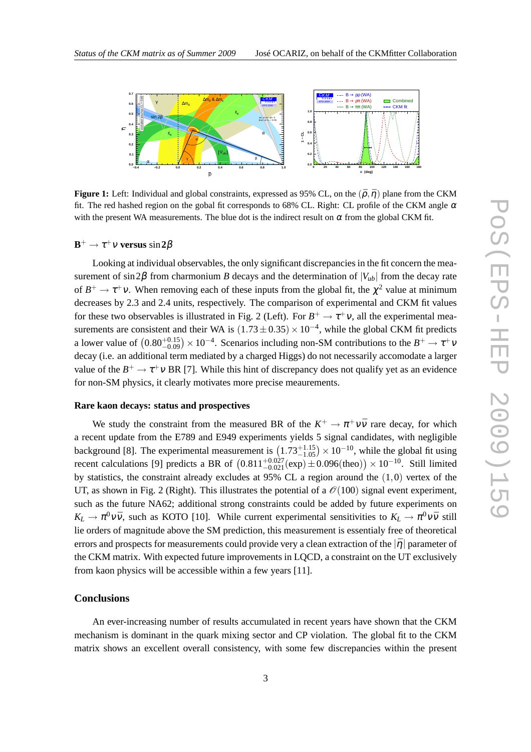

**Figure 1:** Left: Individual and global constraints, expressed as 95% CL, on the  $(\bar{\rho}, \bar{\eta})$  plane from the CKM fit. The red hashed region on the gobal fit corresponds to 68% CL. Right: CL profile of the CKM angle  $\alpha$ with the present WA measurements. The blue dot is the indirect result on  $\alpha$  from the global CKM fit.

## **B** <sup>+</sup> → <sup>τ</sup> <sup>+</sup><sup>ν</sup> **versus** sin**2**β

Looking at individual observables, the only significant discrepancies in the fit concern the measurement of sin 2 $\beta$  from charmonium *B* decays and the determination of  $|V_{ub}|$  from the decay rate of  $B^+ \to \tau^+ \nu$ . When removing each of these inputs from the global fit, the  $\chi^2$  value at minimum decreases by 2.3 and 2.4 units, respectively. The comparison of experimental and CKM fit values for these two observables is illustrated in Fig. 2 (Left). For  $B^+ \to \tau^+ \nu$ , all the experimental measurements are consistent and their WA is  $(1.73 \pm 0.35) \times 10^{-4}$ , while the global CKM fit predicts a lower value of  $(0.80^{+0.15}_{-0.09}) \times 10^{-4}$ . Scenarios including non-SM contributions to the  $B^+ \to \tau^+ \nu$ decay (i.e. an additional term mediated by a charged Higgs) do not necessarily accomodate a larger value of the  $B^+ \to \tau^+ \nu$  BR [7]. While this hint of discrepancy does not qualify yet as an evidence for non-SM physics, it clearly motivates more precise meaurements.

## **Rare kaon decays: status and prospectives**

We study the constraint from the measured BR of the  $K^+ \to \pi^+ \nu \bar{\nu}$  rare decay, for which a recent update from the E789 and E949 experiments yields 5 signal candidates, with negligible background [8]. The experimental measurement is  $(1.73^{+1.15}_{-1.05}) \times 10^{-10}$ , while the global fit using recent calculations [9] predicts a BR of  $(0.811^{+0.027}_{-0.021}(\exp) \pm 0.096(\text{theo})) \times 10^{-10}$ . Still limited by statistics, the constraint already excludes at 95% CL a region around the  $(1,0)$  vertex of the UT, as shown in Fig. 2 (Right). This illustrates the potential of a  $\mathcal{O}(100)$  signal event experiment, such as the future NA62; additional strong constraints could be added by future experiments on  $K_L \to \pi^0 \nu \bar{\nu}$ , such as KOTO [10]. While current experimental sensitivities to  $K_L \to \pi^0 \nu \bar{\nu}$  still lie orders of magnitude above the SM prediction, this measurement is essentialy free of theoretical errors and prospects for measurements could provide very a clean extraction of the  $|\bar{\eta}|$  parameter of the CKM matrix. With expected future improvements in LQCD, a constraint on the UT exclusively from kaon physics will be accessible within a few years [11].

## **Conclusions**

An ever-increasing number of results accumulated in recent years have shown that the CKM mechanism is dominant in the quark mixing sector and CP violation. The global fit to the CKM matrix shows an excellent overall consistency, with some few discrepancies within the present